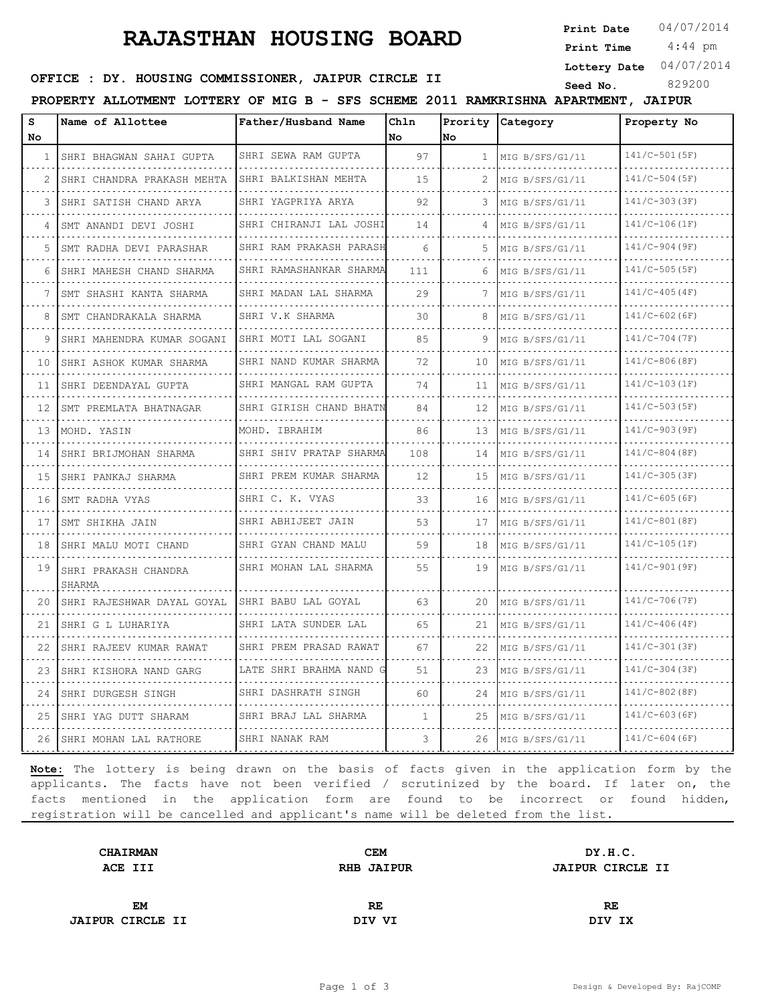## **RAJASTHAN HOUSING BOARD**

**Print Date**  $04/07/2014$ 

 4:44 pm **Print Time**

**Lottery Date** 04/07/2014

### **SEED OFFICE : DY. HOUSING COMMISSIONER, JAIPUR CIRCLE II** Seed No. 829200

**PROPERTY ALLOTMENT LOTTERY OF MIG B - SFS SCHEME 2011 RAMKRISHNA APARTMENT, JAIPUR**

| S  | Name of Allottee               | Father/Husband Name         | Chln         |                                   | Prority Category     | Property No     |
|----|--------------------------------|-----------------------------|--------------|-----------------------------------|----------------------|-----------------|
| No |                                |                             | No           | No                                |                      |                 |
| 1  | SHRI BHAGWAN SAHAI GUPTA       | SHRI SEWA RAM GUPTA<br>.    | 97           | $\mathbf{1}$                      | MIG B/SFS/G1/11      | $141/C-501(SF)$ |
|    | SHRI CHANDRA PRAKASH MEHTA     | SHRI BALKISHAN MEHTA        | 15           |                                   | MIG B/SFS/G1/11      | $141/C-504(SF)$ |
| 3  | SHRI SATISH CHAND ARYA         | SHRI YAGPRIYA ARYA          | 92           | 3                                 | MIG B/SFS/G1/11      | $141/C-303(SF)$ |
| 4  | SMT ANANDI DEVI JOSHI          | SHRI CHIRANJI LAL JOSHI     | 14           | 4                                 | MIG B/SFS/G1/11      | $141/C-106(1F)$ |
| 5  | SMT RADHA DEVI PARASHAR        | SHRI RAM PRAKASH PARASH     | 6            |                                   | MIG B/SFS/G1/11      | $141/C-904(9F)$ |
| 6  | SHRI MAHESH CHAND SHARMA       | SHRI RAMASHANKAR SHARMA     | 111          | 6                                 | MIG B/SFS/G1/11      | $141/C-505(SF)$ |
| 7  | SMT SHASHI KANTA SHARMA        | SHRI MADAN LAL SHARMA       | 29           | 7                                 | MIG B/SFS/G1/11      | $141/C-405(4F)$ |
| 8  | SMT CHANDRAKALA SHARMA         | SHRI V.K SHARMA<br>.        | 30           | 8                                 | MIG B/SFS/G1/11      | $141/C-602(GF)$ |
| 9  | SHRI MAHENDRA KUMAR SOGANI     | SHRI MOTI LAL SOGANI        | 85           | 9                                 | MIG B/SFS/G1/11      | $141/C-704(TF)$ |
| 10 | SHRI ASHOK KUMAR SHARMA        | SHRI NAND KUMAR SHARMA<br>. | 72           | 10                                | MIG B/SFS/G1/11      | $141/C-806(BF)$ |
| 11 | SHRI DEENDAYAL GUPTA           | SHRI MANGAL RAM GUPTA       | 74           | 11                                | MIG B/SFS/G1/11<br>. | $141/C-103(LF)$ |
| 12 | SMT PREMLATA BHATNAGAR         | SHRI GIRISH CHAND BHATN     | 84           | 12                                | MIG B/SFS/G1/11      | $141/C-503(SF)$ |
| 13 | MOHD. YASIN                    | MOHD. IBRAHIM               | 86           | 13                                | MIG B/SFS/G1/11      | $141/C-903(SF)$ |
| 14 | SHRI BRIJMOHAN SHARMA          | SHRI SHIV PRATAP SHARMA     | 108          | 14                                | MIG B/SFS/G1/11<br>. | $141/C-804(SF)$ |
| 15 | SHRI PANKAJ SHARMA             | SHRI PREM KUMAR SHARMA<br>. | 12           | 15                                | MIG B/SFS/G1/11      | $141/C-305(SF)$ |
| 16 | SMT RADHA VYAS                 | SHRI C. K. VYAS             | 33           | 16                                | MIG B/SFS/G1/11      | $141/C-605(GF)$ |
| 17 | SMT SHIKHA JAIN<br>.           | SHRI ABHIJEET JAIN          | 53           | 17                                | MIG B/SFS/G1/11      | $141/C-801(SF)$ |
| 18 | SHRI MALU MOTI CHAND           | SHRI GYAN CHAND MALU<br>.   | 59           | 18                                | MIG B/SFS/G1/11      | $141/C-105(LF)$ |
| 19 | SHRI PRAKASH CHANDRA<br>SHARMA | SHRI MOHAN LAL SHARMA       | 55           | 19                                | MIG B/SFS/G1/11      | 141/C-901(9F)   |
| 20 | SHRI RAJESHWAR DAYAL GOYAL     | SHRI BABU LAL GOYAL         | 63           | 20                                | MIG B/SFS/G1/11      | $141/C-706(TF)$ |
| 21 | SHRI G L LUHARIYA              | SHRI LATA SUNDER LAL        | 65           | 21                                | MIG B/SFS/G1/11      | $141/C-406(4F)$ |
| 22 | SHRI RAJEEV KUMAR RAWAT        | SHRI PREM PRASAD RAWAT      | 67           | 22                                | MIG B/SFS/G1/11      | 141/C-301(3F)   |
| 23 | SHRI KISHORA NAND GARG         | LATE SHRI BRAHMA NAND G     | 51           | 23                                | MIG B/SFS/G1/11      | $141/C-304(SF)$ |
| 24 | SHRI DURGESH SINGH             | SHRI DASHRATH SINGH         | 60           | 24<br>$\sim$ $\sim$ $\sim$ $\sim$ | MIG B/SFS/G1/11      | $141/C-802(BF)$ |
| 25 | SHRI YAG DUTT SHARAM           | SHRI BRAJ LAL SHARMA<br>.   | $\mathbf{1}$ | 25                                | MIG B/SFS/G1/11<br>. | $141/C-603(GF)$ |
| 26 | SHRI MOHAN LAL RATHORE         | SHRI NANAK RAM              | 3            | 26                                | MIG B/SFS/G1/11      | $141/C-604(GF)$ |

**Note:** The lottery is being drawn on the basis of facts given in the application form by the applicants. The facts have not been verified / scrutinized by the board. If later on, the facts mentioned in the application form are found to be incorrect or found hidden, registration will be cancelled and applicant's name will be deleted from the list.

| <b>CHAIRMAN</b>         | <b>CEM</b>        | DY.H.C.                 |  |
|-------------------------|-------------------|-------------------------|--|
| ACE III                 | <b>RHB JAIPUR</b> | <b>JAIPUR CIRCLE II</b> |  |
|                         |                   |                         |  |
| <b>EM</b>               | RE                | RE.                     |  |
| <b>JAIPUR CIRCLE II</b> | DIV VI            | DIV IX                  |  |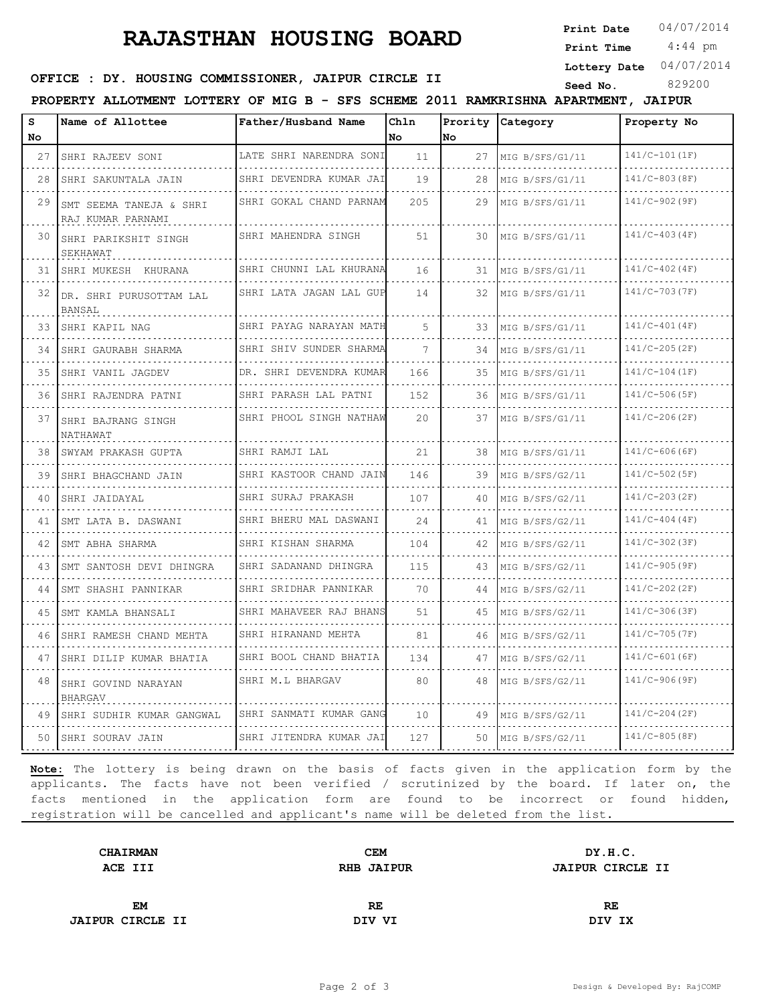## **RAJASTHAN HOUSING BOARD**

**Print Date**  $04/07/2014$ 

 4:44 pm **Print Time**

**Lottery Date** 04/07/2014

### **SEED OFFICE : DY. HOUSING COMMISSIONER, JAIPUR CIRCLE II** Seed No. 829200

**PROPERTY ALLOTMENT LOTTERY OF MIG B - SFS SCHEME 2011 RAMKRISHNA APARTMENT, JAIPUR**

| s  | Name of Allottee                             | Father/Husband Name          | Chln                                                                                                                                       |      | Prority Category | Property No     |
|----|----------------------------------------------|------------------------------|--------------------------------------------------------------------------------------------------------------------------------------------|------|------------------|-----------------|
| No |                                              |                              | No.                                                                                                                                        | lNo. |                  |                 |
| 27 | SHRI RAJEEV SONI                             | LATE SHRI NARENDRA SONI      | 11<br>$\mathcal{L}^{\mathcal{A}}\left( \mathcal{A}^{\mathcal{A}}\right) =\mathcal{L}^{\mathcal{A}}\left( \mathcal{A}^{\mathcal{A}}\right)$ | 27   | MIG B/SFS/G1/11  | $141/C-101(IF)$ |
| 28 | SHRI SAKUNTALA JAIN                          | SHRI DEVENDRA KUMAR JAI      | 19                                                                                                                                         | 28   | MIG B/SFS/G1/11  | $141/C-803(BF)$ |
| 29 | SMT SEEMA TANEJA & SHRI<br>RAJ KUMAR PARNAMI | SHRI GOKAL CHAND PARNAM      | 205                                                                                                                                        | 29   | MIG B/SFS/G1/11  | $141/C-902(SF)$ |
| 30 | SHRI PARIKSHIT SINGH<br>SEKHAWAT             | SHRI MAHENDRA SINGH          | 51                                                                                                                                         | 30   | MIG B/SFS/G1/11  | $141/C-403(4F)$ |
| 31 | SHRI MUKESH KHURANA                          | SHRI CHUNNI LAL KHURANA      | 16                                                                                                                                         | 31   | MIG B/SFS/G1/11  | $141/C-402(4F)$ |
|    | 32 DR. SHRI PURUSOTTAM LAL<br>BANSAL         | SHRI LATA JAGAN LAL GUP      | 14                                                                                                                                         | 32   | MIG B/SFS/G1/11  | 141/C-703(7F)   |
| 33 | SHRI KAPIL NAG                               | SHRI PAYAG NARAYAN MATH      | 5                                                                                                                                          | 33   | MIG B/SFS/G1/11  | $141/C-401(4F)$ |
| 34 | SHRI GAURABH SHARMA                          | SHRI SHIV SUNDER SHARMA      | 7                                                                                                                                          | 34   | MIG B/SFS/G1/11  | $141/C-205(ZF)$ |
| 35 | SHRI VANIL JAGDEV                            | DR. SHRI DEVENDRA KUMAR      | 166                                                                                                                                        | 35   | MIG B/SFS/G1/11  | $141/C-104(LF)$ |
| 36 | SHRI RAJENDRA PATNI                          | SHRI PARASH LAL PATNI        | 152                                                                                                                                        | 36   | MIG B/SFS/G1/11  | 141/C-506(5F)   |
| 37 | SHRI BAJRANG SINGH<br>NATHAWAT               | .<br>SHRI PHOOL SINGH NATHAW | 20                                                                                                                                         | 37   | MIG B/SFS/G1/11  | $141/C-206(ZF)$ |
| 38 | SWYAM PRAKASH GUPTA                          | SHRI RAMJI LAL               | 21                                                                                                                                         | 38   | MIG B/SFS/G1/11  | $141/C-606(GF)$ |
| 39 | SHRI BHAGCHAND JAIN                          | SHRI KASTOOR CHAND JAIN      | 146                                                                                                                                        | 39   | MIG B/SFS/G2/11  | $141/C-502(SF)$ |
| 40 | SHRI JAIDAYAL                                | SHRI SURAJ PRAKASH           | 107                                                                                                                                        | 40   | MIG B/SFS/G2/11  | $141/C-203(T)$  |
| 41 | SMT LATA B. DASWANI                          | .<br>SHRI BHERU MAL DASWANI  | 24                                                                                                                                         | 41   | MIG B/SFS/G2/11  | $141/C-404(4F)$ |
| 42 | SMT ABHA SHARMA                              | SHRI KISHAN SHARMA           | 104                                                                                                                                        | 42   | MIG B/SFS/G2/11  | $141/C-302(SF)$ |
| 43 | SMT SANTOSH DEVI DHINGRA                     | SHRI SADANAND DHINGRA        | 115                                                                                                                                        | 43   | MIG B/SFS/G2/11  | $141/C-905(S)$  |
| 44 | SMT SHASHI PANNIKAR                          | SHRI SRIDHAR PANNIKAR        | 70                                                                                                                                         | 44   | MIG B/SFS/G2/11  | $141/C-202(ZF)$ |
| 45 | SMT KAMLA BHANSALI                           | SHRI MAHAVEER RAJ BHANS<br>. | 51                                                                                                                                         | 45   | MIG B/SFS/G2/11  | $141/C-306(SF)$ |
| 46 | SHRI RAMESH CHAND MEHTA                      | SHRI HIRANAND MEHTA          | 81                                                                                                                                         | 46   | MIG B/SFS/G2/11  | $141/C-705(TF)$ |
| 47 | SHRI DILIP KUMAR BHATIA                      | SHRI BOOL CHAND BHATIA       | 134                                                                                                                                        | 47   | MIG B/SFS/G2/11  | $141/C-601(GF)$ |
| 48 | SHRI GOVIND NARAYAN<br>BHARGAV               | SHRI M.L BHARGAV             | 80                                                                                                                                         | 48   | MIG B/SFS/G2/11  | $141/C-906(SF)$ |
| 49 | SHRI SUDHIR KUMAR GANGWAL                    | SHRI SANMATI KUMAR GANG      | 10                                                                                                                                         | 49   | MIG B/SFS/G2/11  | $141/C-204(ZF)$ |
|    | 50 SHRI SOURAV JAIN                          | SHRI JITENDRA KUMAR JAI      | 127                                                                                                                                        | 50   | MIG B/SFS/G2/11  | $141/C-805(BF)$ |

**Note:** The lottery is being drawn on the basis of facts given in the application form by the applicants. The facts have not been verified / scrutinized by the board. If later on, the facts mentioned in the application form are found to be incorrect or found hidden, registration will be cancelled and applicant's name will be deleted from the list.

| <b>CHAIRMAN</b>         | <b>CEM</b>        | DY.H.C.                 |  |
|-------------------------|-------------------|-------------------------|--|
| ACE III                 | <b>RHB JAIPUR</b> | <b>JAIPUR CIRCLE II</b> |  |
|                         |                   |                         |  |
| EM                      | RE.               | RE                      |  |
| <b>JAIPUR CIRCLE II</b> | DIV VI            | DIV IX                  |  |